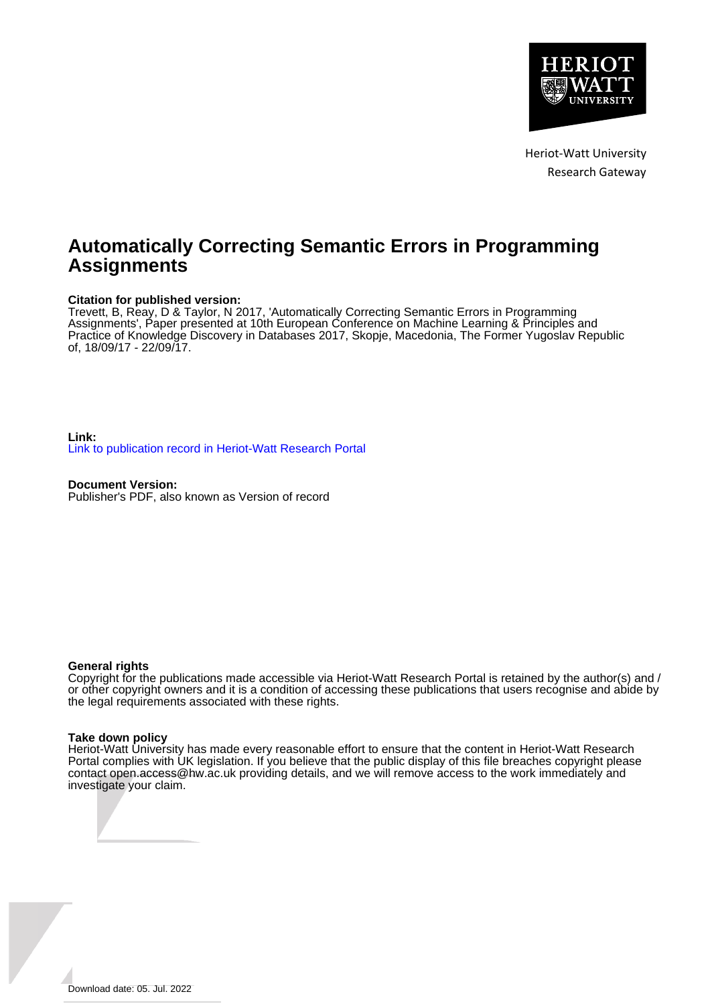

Heriot-Watt University Research Gateway

# **Automatically Correcting Semantic Errors in Programming Assignments**

#### **Citation for published version:**

Trevett, B, Reay, D & Taylor, N 2017, 'Automatically Correcting Semantic Errors in Programming Assignments', Paper presented at 10th European Conference on Machine Learning & Principles and Practice of Knowledge Discovery in Databases 2017, Skopje, Macedonia, The Former Yugoslav Republic of, 18/09/17 - 22/09/17.

**Link:** [Link to publication record in Heriot-Watt Research Portal](https://researchportal.hw.ac.uk/en/publications/d599d044-3dc1-42a2-9c2f-5abd879296d0)

**Document Version:** Publisher's PDF, also known as Version of record

#### **General rights**

Copyright for the publications made accessible via Heriot-Watt Research Portal is retained by the author(s) and / or other copyright owners and it is a condition of accessing these publications that users recognise and abide by the legal requirements associated with these rights.

#### **Take down policy**

Heriot-Watt University has made every reasonable effort to ensure that the content in Heriot-Watt Research Portal complies with UK legislation. If you believe that the public display of this file breaches copyright please contact open.access@hw.ac.uk providing details, and we will remove access to the work immediately and investigate your claim.

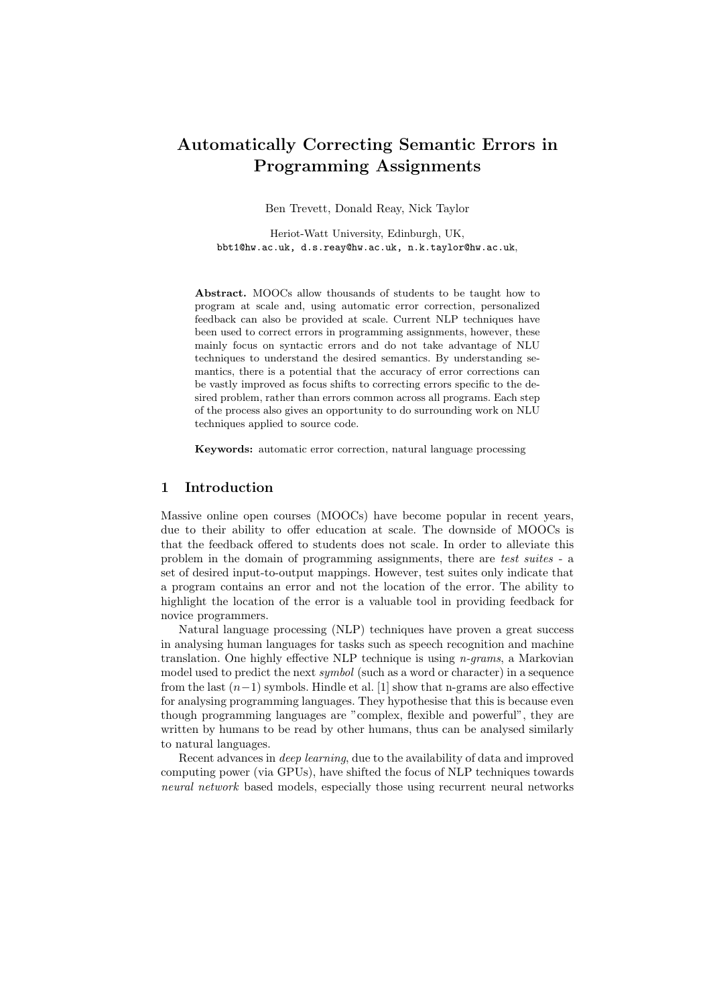## Automatically Correcting Semantic Errors in Programming Assignments

Ben Trevett, Donald Reay, Nick Taylor

Heriot-Watt University, Edinburgh, UK, bbt1@hw.ac.uk, d.s.reay@hw.ac.uk, n.k.taylor@hw.ac.uk,

Abstract. MOOCs allow thousands of students to be taught how to program at scale and, using automatic error correction, personalized feedback can also be provided at scale. Current NLP techniques have been used to correct errors in programming assignments, however, these mainly focus on syntactic errors and do not take advantage of NLU techniques to understand the desired semantics. By understanding semantics, there is a potential that the accuracy of error corrections can be vastly improved as focus shifts to correcting errors specific to the desired problem, rather than errors common across all programs. Each step of the process also gives an opportunity to do surrounding work on NLU techniques applied to source code.

Keywords: automatic error correction, natural language processing

#### 1 Introduction

Massive online open courses (MOOCs) have become popular in recent years, due to their ability to offer education at scale. The downside of MOOCs is that the feedback offered to students does not scale. In order to alleviate this problem in the domain of programming assignments, there are test suites - a set of desired input-to-output mappings. However, test suites only indicate that a program contains an error and not the location of the error. The ability to highlight the location of the error is a valuable tool in providing feedback for novice programmers.

Natural language processing (NLP) techniques have proven a great success in analysing human languages for tasks such as speech recognition and machine translation. One highly effective NLP technique is using  $n\text{-}grams$ , a Markovian model used to predict the next *symbol* (such as a word or character) in a sequence from the last  $(n-1)$  symbols. Hindle et al. [1] show that n-grams are also effective for analysing programming languages. They hypothesise that this is because even though programming languages are "complex, flexible and powerful", they are written by humans to be read by other humans, thus can be analysed similarly to natural languages.

Recent advances in deep learning, due to the availability of data and improved computing power (via GPUs), have shifted the focus of NLP techniques towards neural network based models, especially those using recurrent neural networks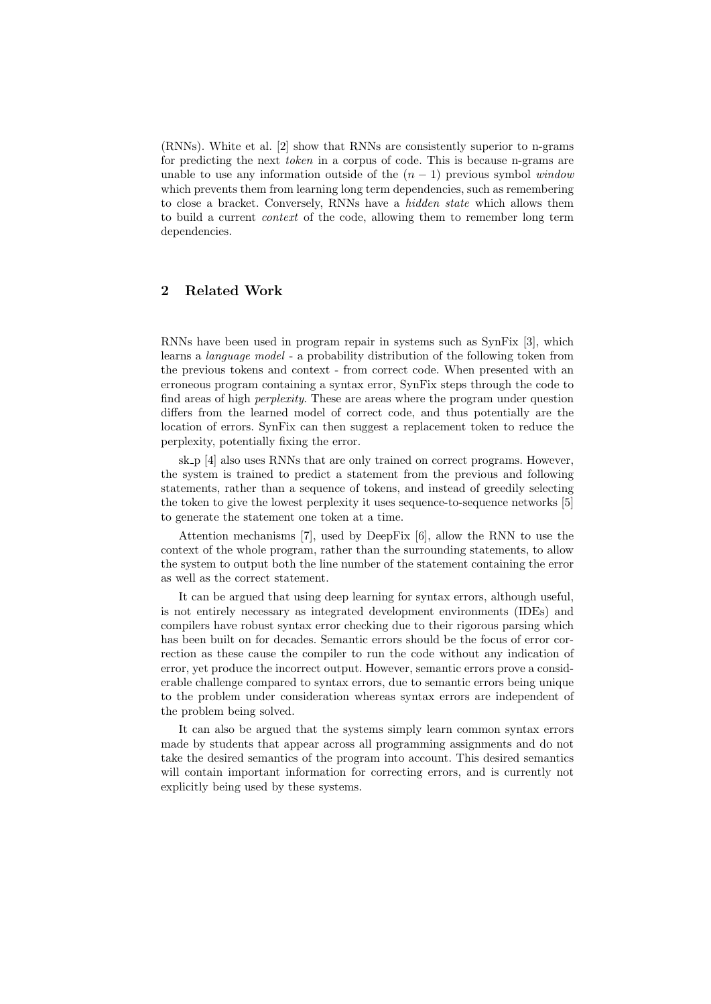(RNNs). White et al. [2] show that RNNs are consistently superior to n-grams for predicting the next token in a corpus of code. This is because n-grams are unable to use any information outside of the  $(n - 1)$  previous symbol window which prevents them from learning long term dependencies, such as remembering to close a bracket. Conversely, RNNs have a hidden state which allows them to build a current context of the code, allowing them to remember long term dependencies.

## 2 Related Work

RNNs have been used in program repair in systems such as SynFix [3], which learns a language model - a probability distribution of the following token from the previous tokens and context - from correct code. When presented with an erroneous program containing a syntax error, SynFix steps through the code to find areas of high perplexity. These are areas where the program under question differs from the learned model of correct code, and thus potentially are the location of errors. SynFix can then suggest a replacement token to reduce the perplexity, potentially fixing the error.

sk p [4] also uses RNNs that are only trained on correct programs. However, the system is trained to predict a statement from the previous and following statements, rather than a sequence of tokens, and instead of greedily selecting the token to give the lowest perplexity it uses sequence-to-sequence networks [5] to generate the statement one token at a time.

Attention mechanisms [7], used by DeepFix [6], allow the RNN to use the context of the whole program, rather than the surrounding statements, to allow the system to output both the line number of the statement containing the error as well as the correct statement.

It can be argued that using deep learning for syntax errors, although useful, is not entirely necessary as integrated development environments (IDEs) and compilers have robust syntax error checking due to their rigorous parsing which has been built on for decades. Semantic errors should be the focus of error correction as these cause the compiler to run the code without any indication of error, yet produce the incorrect output. However, semantic errors prove a considerable challenge compared to syntax errors, due to semantic errors being unique to the problem under consideration whereas syntax errors are independent of the problem being solved.

It can also be argued that the systems simply learn common syntax errors made by students that appear across all programming assignments and do not take the desired semantics of the program into account. This desired semantics will contain important information for correcting errors, and is currently not explicitly being used by these systems.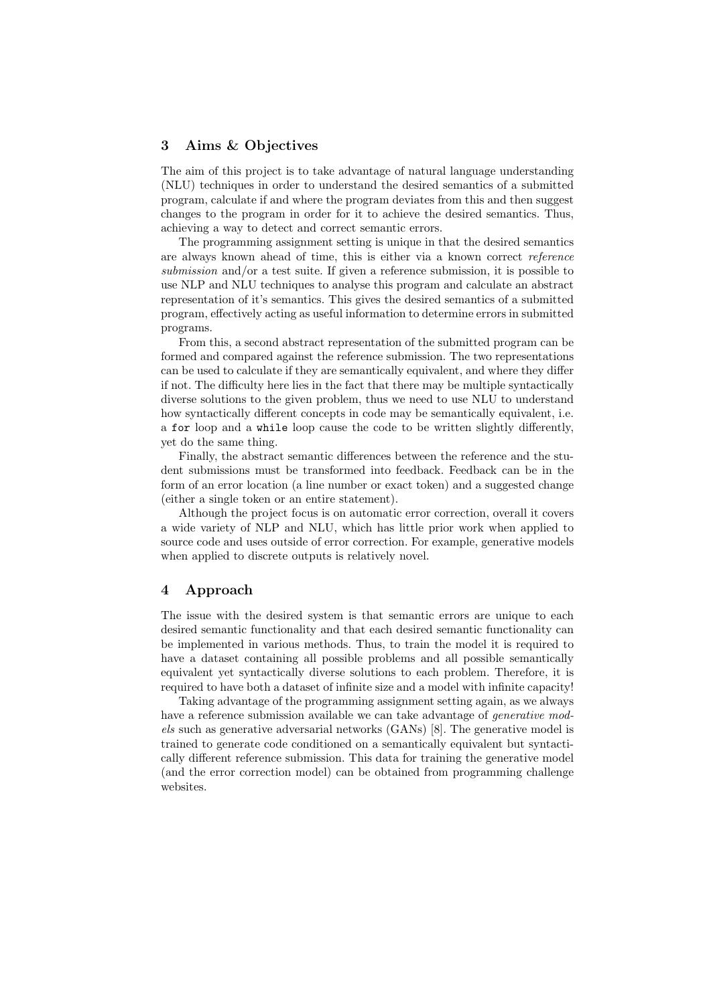## 3 Aims & Objectives

The aim of this project is to take advantage of natural language understanding (NLU) techniques in order to understand the desired semantics of a submitted program, calculate if and where the program deviates from this and then suggest changes to the program in order for it to achieve the desired semantics. Thus, achieving a way to detect and correct semantic errors.

The programming assignment setting is unique in that the desired semantics are always known ahead of time, this is either via a known correct reference submission and/or a test suite. If given a reference submission, it is possible to use NLP and NLU techniques to analyse this program and calculate an abstract representation of it's semantics. This gives the desired semantics of a submitted program, effectively acting as useful information to determine errors in submitted programs.

From this, a second abstract representation of the submitted program can be formed and compared against the reference submission. The two representations can be used to calculate if they are semantically equivalent, and where they differ if not. The difficulty here lies in the fact that there may be multiple syntactically diverse solutions to the given problem, thus we need to use NLU to understand how syntactically different concepts in code may be semantically equivalent, i.e. a for loop and a while loop cause the code to be written slightly differently, yet do the same thing.

Finally, the abstract semantic differences between the reference and the student submissions must be transformed into feedback. Feedback can be in the form of an error location (a line number or exact token) and a suggested change (either a single token or an entire statement).

Although the project focus is on automatic error correction, overall it covers a wide variety of NLP and NLU, which has little prior work when applied to source code and uses outside of error correction. For example, generative models when applied to discrete outputs is relatively novel.

## 4 Approach

The issue with the desired system is that semantic errors are unique to each desired semantic functionality and that each desired semantic functionality can be implemented in various methods. Thus, to train the model it is required to have a dataset containing all possible problems and all possible semantically equivalent yet syntactically diverse solutions to each problem. Therefore, it is required to have both a dataset of infinite size and a model with infinite capacity!

Taking advantage of the programming assignment setting again, as we always have a reference submission available we can take advantage of *generative mod*els such as generative adversarial networks (GANs) [8]. The generative model is trained to generate code conditioned on a semantically equivalent but syntactically different reference submission. This data for training the generative model (and the error correction model) can be obtained from programming challenge websites.